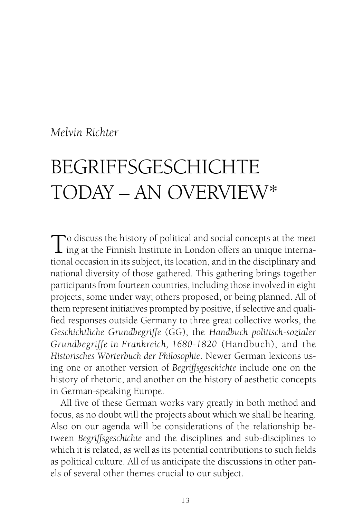*Melvin Richter*

# BEGRIFFSGESCHICHTE TODAY – AN OVERVIEW\*

To discuss the history of political and social concepts at the meet  $\mathbf 1$  ing at the Finnish Institute in London offers an unique international occasion in its subject, its location, and in the disciplinary and national diversity of those gathered. This gathering brings together participants from fourteen countries, including those involved in eight projects, some under way; others proposed, or being planned. All of them represent initiatives prompted by positive, if selective and qualified responses outside Germany to three great collective works, the *Geschichtliche Grundbegriffe* (GG), the *Handbuch politisch-sozialer Grundbegriffe in Frankreich, 1680-1820* (Handbuch), and the *Historisches Wörterbuch der Philosophie*. Newer German lexicons using one or another version of *Begriffsgeschichte* include one on the history of rhetoric, and another on the history of aesthetic concepts in German-speaking Europe.

All five of these German works vary greatly in both method and focus, as no doubt will the projects about which we shall be hearing. Also on our agenda will be considerations of the relationship between *Begriffsgeschichte* and the disciplines and sub-disciplines to which it is related, as well as its potential contributions to such fields as political culture. All of us anticipate the discussions in other panels of several other themes crucial to our subject.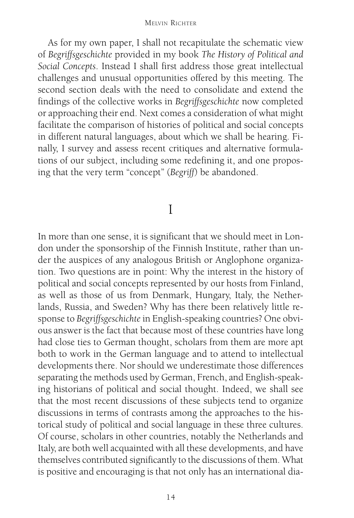As for my own paper, I shall not recapitulate the schematic view of *Begriffsgeschichte* provided in my book *The History of Political and Social Concepts*. Instead I shall first address those great intellectual challenges and unusual opportunities offered by this meeting. The second section deals with the need to consolidate and extend the findings of the collective works in *Begriffsgeschichte* now completed or approaching their end. Next comes a consideration of what might facilitate the comparison of histories of political and social concepts in different natural languages, about which we shall be hearing. Finally, I survey and assess recent critiques and alternative formulations of our subject, including some redefining it, and one proposing that the very term "concept" (*Begriff*) be abandoned.

### I

In more than one sense, it is significant that we should meet in London under the sponsorship of the Finnish Institute, rather than under the auspices of any analogous British or Anglophone organization. Two questions are in point: Why the interest in the history of political and social concepts represented by our hosts from Finland, as well as those of us from Denmark, Hungary, Italy, the Netherlands, Russia, and Sweden? Why has there been relatively little response to *Begriffsgeschichte* in English-speaking countries? One obvious answer is the fact that because most of these countries have long had close ties to German thought, scholars from them are more apt both to work in the German language and to attend to intellectual developments there. Nor should we underestimate those differences separating the methods used by German, French, and English-speaking historians of political and social thought. Indeed, we shall see that the most recent discussions of these subjects tend to organize discussions in terms of contrasts among the approaches to the historical study of political and social language in these three cultures. Of course, scholars in other countries, notably the Netherlands and Italy, are both well acquainted with all these developments, and have themselves contributed significantly to the discussions of them. What is positive and encouraging is that not only has an international dia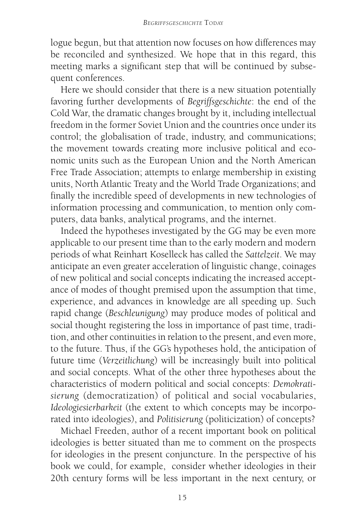logue begun, but that attention now focuses on how differences may be reconciled and synthesized. We hope that in this regard, this meeting marks a significant step that will be continued by subsequent conferences.

Here we should consider that there is a new situation potentially favoring further developments of *Begriffsgeschichte*: the end of the Cold War, the dramatic changes brought by it, including intellectual freedom in the former Soviet Union and the countries once under its control; the globalisation of trade, industry, and communications; the movement towards creating more inclusive political and economic units such as the European Union and the North American Free Trade Association; attempts to enlarge membership in existing units, North Atlantic Treaty and the World Trade Organizations; and finally the incredible speed of developments in new technologies of information processing and communication, to mention only computers, data banks, analytical programs, and the internet.

Indeed the hypotheses investigated by the GG may be even more applicable to our present time than to the early modern and modern periods of what Reinhart Koselleck has called the *Sattelzeit*. We may anticipate an even greater acceleration of linguistic change, coinages of new political and social concepts indicating the increased acceptance of modes of thought premised upon the assumption that time, experience, and advances in knowledge are all speeding up. Such rapid change (*Beschleunigung*) may produce modes of political and social thought registering the loss in importance of past time, tradition, and other continuities in relation to the present, and even more, to the future. Thus, if the GG's hypotheses hold, the anticipation of future time (*Verzeitlichung*) will be increasingly built into political and social concepts. What of the other three hypotheses about the characteristics of modern political and social concepts: *Demokratisierung* (democratization) of political and social vocabularies, *Ideologiesierbarkeit* (the extent to which concepts may be incorporated into ideologies), and *Politisierung* (politicization) of concepts?

Michael Freeden, author of a recent important book on political ideologies is better situated than me to comment on the prospects for ideologies in the present conjuncture. In the perspective of his book we could, for example, consider whether ideologies in their 20th century forms will be less important in the next century, or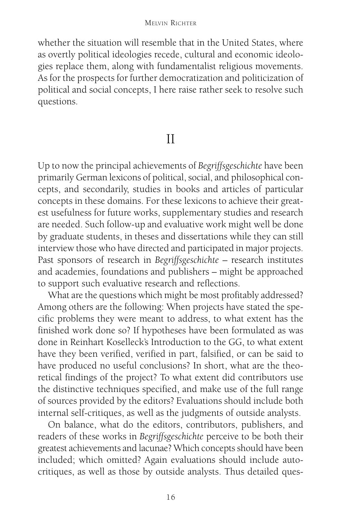whether the situation will resemble that in the United States, where as overtly political ideologies recede, cultural and economic ideologies replace them, along with fundamentalist religious movements. As for the prospects for further democratization and politicization of political and social concepts, I here raise rather seek to resolve such questions.

## II

Up to now the principal achievements of *Begriffsgeschichte* have been primarily German lexicons of political, social, and philosophical concepts, and secondarily, studies in books and articles of particular concepts in these domains. For these lexicons to achieve their greatest usefulness for future works, supplementary studies and research are needed. Such follow-up and evaluative work might well be done by graduate students, in theses and dissertations while they can still interview those who have directed and participated in major projects. Past sponsors of research in *Begriffsgeschichte* – research institutes and academies, foundations and publishers – might be approached to support such evaluative research and reflections.

What are the questions which might be most profitably addressed? Among others are the following: When projects have stated the specific problems they were meant to address, to what extent has the finished work done so? If hypotheses have been formulated as was done in Reinhart Koselleck's Introduction to the GG, to what extent have they been verified, verified in part, falsified, or can be said to have produced no useful conclusions? In short, what are the theoretical findings of the project? To what extent did contributors use the distinctive techniques specified, and make use of the full range of sources provided by the editors? Evaluations should include both internal self-critiques, as well as the judgments of outside analysts.

On balance, what do the editors, contributors, publishers, and readers of these works in *Begriffsgeschichte* perceive to be both their greatest achievements and lacunae? Which concepts should have been included; which omitted? Again evaluations should include autocritiques, as well as those by outside analysts. Thus detailed ques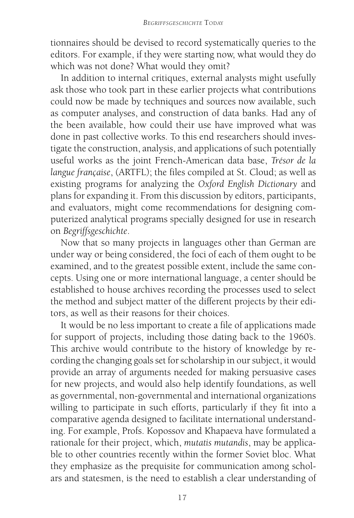tionnaires should be devised to record systematically queries to the editors. For example, if they were starting now, what would they do which was not done? What would they omit?

In addition to internal critiques, external analysts might usefully ask those who took part in these earlier projects what contributions could now be made by techniques and sources now available, such as computer analyses, and construction of data banks. Had any of the been available, how could their use have improved what was done in past collective works. To this end researchers should investigate the construction, analysis, and applications of such potentially useful works as the joint French-American data base, *Trésor de la langue française*, (ARTFL); the files compiled at St. Cloud; as well as existing programs for analyzing the *Oxford English Dictionary* and plans for expanding it. From this discussion by editors, participants, and evaluators, might come recommendations for designing computerized analytical programs specially designed for use in research on *Begriffsgeschichte*.

Now that so many projects in languages other than German are under way or being considered, the foci of each of them ought to be examined, and to the greatest possible extent, include the same concepts. Using one or more international language, a center should be established to house archives recording the processes used to select the method and subject matter of the different projects by their editors, as well as their reasons for their choices.

It would be no less important to create a file of applications made for support of projects, including those dating back to the 1960's. This archive would contribute to the history of knowledge by recording the changing goals set for scholarship in our subject, it would provide an array of arguments needed for making persuasive cases for new projects, and would also help identify foundations, as well as governmental, non-governmental and international organizations willing to participate in such efforts, particularly if they fit into a comparative agenda designed to facilitate international understanding. For example, Profs. Kopossov and Khapaeva have formulated a rationale for their project, which, *mutatis mutandis*, may be applicable to other countries recently within the former Soviet bloc. What they emphasize as the prequisite for communication among scholars and statesmen, is the need to establish a clear understanding of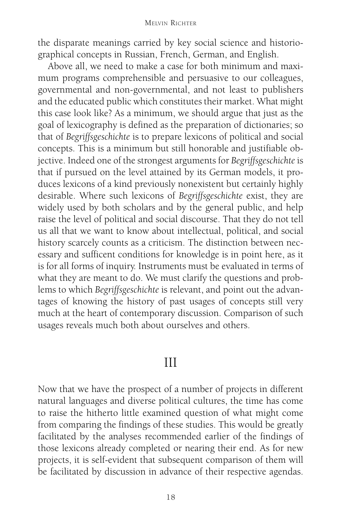the disparate meanings carried by key social science and historiographical concepts in Russian, French, German, and English.

Above all, we need to make a case for both minimum and maximum programs comprehensible and persuasive to our colleagues, governmental and non-governmental, and not least to publishers and the educated public which constitutes their market. What might this case look like? As a minimum, we should argue that just as the goal of lexicography is defined as the preparation of dictionaries; so that of *Begriffsgeschichte* is to prepare lexicons of political and social concepts. This is a minimum but still honorable and justifiable objective. Indeed one of the strongest arguments for *Begriffsgeschichte* is that if pursued on the level attained by its German models, it produces lexicons of a kind previously nonexistent but certainly highly desirable. Where such lexicons of *Begriffsgeschichte* exist, they are widely used by both scholars and by the general public, and help raise the level of political and social discourse. That they do not tell us all that we want to know about intellectual, political, and social history scarcely counts as a criticism. The distinction between necessary and sufficent conditions for knowledge is in point here, as it is for all forms of inquiry. Instruments must be evaluated in terms of what they are meant to do. We must clarify the questions and problems to which *Begriffsgeschichte* is relevant, and point out the advantages of knowing the history of past usages of concepts still very much at the heart of contemporary discussion. Comparison of such usages reveals much both about ourselves and others.

### III

Now that we have the prospect of a number of projects in different natural languages and diverse political cultures, the time has come to raise the hitherto little examined question of what might come from comparing the findings of these studies. This would be greatly facilitated by the analyses recommended earlier of the findings of those lexicons already completed or nearing their end. As for new projects, it is self-evident that subsequent comparison of them will be facilitated by discussion in advance of their respective agendas.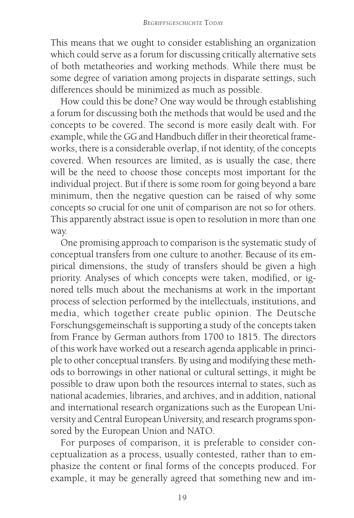This means that we ought to consider establishing an organization which could serve as a forum for discussing critically alternative sets of both metatheories and working methods. While there must be some degree of variation among projects in disparate settings, such differences should be minimized as much as possible.

How could this be done? One way would be through establishing a forum for discussing both the methods that would be used and the concepts to be covered. The second is more easily dealt with. For example, while the GG and Handbuch differ in their theoretical frameworks, there is a considerable overlap, if not identity, of the concepts covered. When resources are limited, as is usually the case, there will be the need to choose those concepts most important for the individual project. But if there is some room for going beyond a bare minimum, then the negative question can be raised of why some concepts so crucial for one unit of comparison are not so for others. This apparently abstract issue is open to resolution in more than one way.

One promising approach to comparison is the systematic study of conceptual transfers from one culture to another. Because of its empirical dimensions, the study of transfers should be given a high priority. Analyses of which concepts were taken, modified, or ignored tells much about the mechanisms at work in the important process of selection performed by the intellectuals, institutions, and media, which together create public opinion. The Deutsche Forschungsgemeinschaft is supporting a study of the concepts taken from France by German authors from 1700 to 1815. The directors of this work have worked out a research agenda applicable in principle to other conceptual transfers. By using and modifying these methods to borrowings in other national or cultural settings, it might be possible to draw upon both the resources internal to states, such as national academies, libraries, and archives, and in addition, national and international research organizations such as the European University and Central European University, and research programs sponsored by the European Union and NATO.

For purposes of comparison, it is preferable to consider conceptualization as a process, usually contested, rather than to emphasize the content or final forms of the concepts produced. For example, it may be generally agreed that something new and im-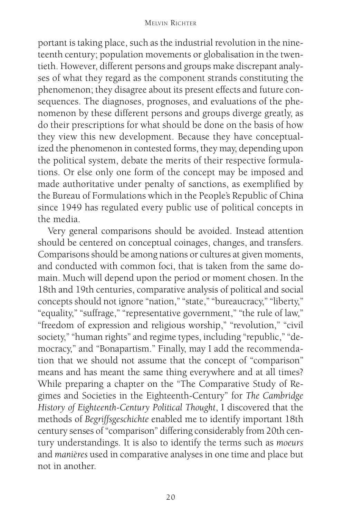portant is taking place, such as the industrial revolution in the nineteenth century; population movements or globalisation in the twentieth. However, different persons and groups make discrepant analyses of what they regard as the component strands constituting the phenomenon; they disagree about its present effects and future consequences. The diagnoses, prognoses, and evaluations of the phenomenon by these different persons and groups diverge greatly, as do their prescriptions for what should be done on the basis of how they view this new development. Because they have conceptualized the phenomenon in contested forms, they may, depending upon the political system, debate the merits of their respective formulations. Or else only one form of the concept may be imposed and made authoritative under penalty of sanctions, as exemplified by the Bureau of Formulations which in the People's Republic of China since 1949 has regulated every public use of political concepts in the media.

Very general comparisons should be avoided. Instead attention should be centered on conceptual coinages, changes, and transfers. Comparisons should be among nations or cultures at given moments, and conducted with common foci, that is taken from the same domain. Much will depend upon the period or moment chosen. In the 18th and 19th centuries, comparative analysis of political and social concepts should not ignore "nation," "state," "bureaucracy," "liberty," "equality," "suffrage," "representative government," "the rule of law," "freedom of expression and religious worship," "revolution," "civil society," "human rights" and regime types, including "republic," "democracy," and "Bonapartism." Finally, may I add the recommendation that we should not assume that the concept of "comparison" means and has meant the same thing everywhere and at all times? While preparing a chapter on the "The Comparative Study of Regimes and Societies in the Eighteenth-Century" for *The Cambridge History of Eighteenth-Century Political Thought*, I discovered that the methods of *Begriffsgeschichte* enabled me to identify important 18th century senses of "comparison" differing considerably from 20th century understandings. It is also to identify the terms such as *moeurs* and *manières* used in comparative analyses in one time and place but not in another.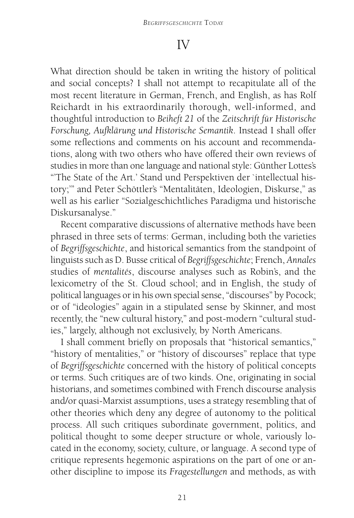# IV

What direction should be taken in writing the history of political and social concepts? I shall not attempt to recapitulate all of the most recent literature in German, French, and English, as has Rolf Reichardt in his extraordinarily thorough, well-informed, and thoughtful introduction to *Beiheft 21* of the *Zeitschrift für Historische Forschung, Aufklärung und Historische Semantik*. Instead I shall offer some reflections and comments on his account and recommendations, along with two others who have offered their own reviews of studies in more than one language and national style: Günther Lottes's "'The State of the Art.' Stand und Perspektiven der `intellectual history;'" and Peter Schöttler's "Mentalitäten, Ideologien, Diskurse," as well as his earlier "Sozialgeschichtliches Paradigma und historische Diskursanalyse."

Recent comparative discussions of alternative methods have been phrased in three sets of terms: German, including both the varieties of *Begriffsgeschichte*, and historical semantics from the standpoint of linguists such as D. Busse critical of *Begriffsgeschichte*; French, *Annales* studies of *mentalités*, discourse analyses such as Robin's, and the lexicometry of the St. Cloud school; and in English, the study of political languages or in his own special sense, "discourses" by Pocock; or of "ideologies" again in a stipulated sense by Skinner, and most recently, the "new cultural history," and post-modern "cultural studies," largely, although not exclusively, by North Americans.

I shall comment briefly on proposals that "historical semantics," "history of mentalities," or "history of discourses" replace that type of *Begriffsgeschichte* concerned with the history of political concepts or terms. Such critiques are of two kinds. One, originating in social historians, and sometimes combined with French discourse analysis and/or quasi-Marxist assumptions, uses a strategy resembling that of other theories which deny any degree of autonomy to the political process. All such critiques subordinate government, politics, and political thought to some deeper structure or whole, variously located in the economy, society, culture, or language. A second type of critique represents hegemonic aspirations on the part of one or another discipline to impose its *Fragestellungen* and methods, as with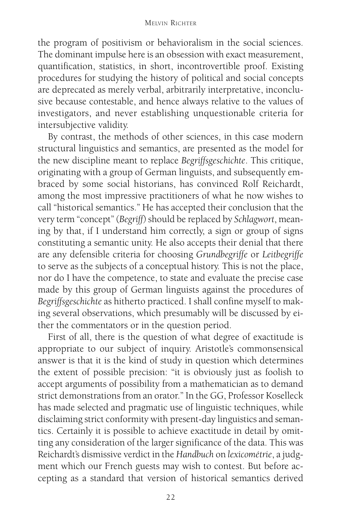the program of positivism or behavioralism in the social sciences. The dominant impulse here is an obsession with exact measurement, quantification, statistics, in short, incontrovertible proof. Existing procedures for studying the history of political and social concepts are deprecated as merely verbal, arbitrarily interpretative, inconclusive because contestable, and hence always relative to the values of investigators, and never establishing unquestionable criteria for intersubjective validity.

By contrast, the methods of other sciences, in this case modern structural linguistics and semantics, are presented as the model for the new discipline meant to replace *Begriffsgeschichte*. This critique, originating with a group of German linguists, and subsequently embraced by some social historians, has convinced Rolf Reichardt, among the most impressive practitioners of what he now wishes to call "historical semantics." He has accepted their conclusion that the very term "concept" (*Begriff*) should be replaced by *Schlagwort*, meaning by that, if I understand him correctly, a sign or group of signs constituting a semantic unity. He also accepts their denial that there are any defensible criteria for choosing *Grundbegriffe* or *Leitbegriffe* to serve as the subjects of a conceptual history. This is not the place, nor do I have the competence, to state and evaluate the precise case made by this group of German linguists against the procedures of *Begriffsgeschichte* as hitherto practiced. I shall confine myself to making several observations, which presumably will be discussed by either the commentators or in the question period.

First of all, there is the question of what degree of exactitude is appropriate to our subject of inquiry. Aristotle's commonsensical answer is that it is the kind of study in question which determines the extent of possible precision: "it is obviously just as foolish to accept arguments of possibility from a mathematician as to demand strict demonstrations from an orator." In the GG, Professor Koselleck has made selected and pragmatic use of linguistic techniques, while disclaiming strict conformity with present-day linguistics and semantics. Certainly it is possible to achieve exactitude in detail by omitting any consideration of the larger significance of the data. This was Reichardt's dismissive verdict in the *Handbuch* on *lexicométrie*, a judgment which our French guests may wish to contest. But before accepting as a standard that version of historical semantics derived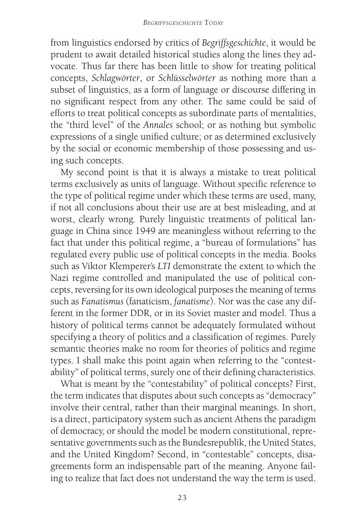from linguistics endorsed by critics of *Begriffsgeschichte*, it would be prudent to await detailed historical studies along the lines they advocate. Thus far there has been little to show for treating political concepts, *Schlagwörter*, or *Schlüsselwörter* as nothing more than a subset of linguistics, as a form of language or discourse differing in no significant respect from any other. The same could be said of efforts to treat political concepts as subordinate parts of mentalities, the "third level" of the *Annales* school; or as nothing but symbolic expressions of a single unified culture; or as determined exclusively by the social or economic membership of those possessing and using such concepts.

My second point is that it is always a mistake to treat political terms exclusively as units of language. Without specific reference to the type of political regime under which these terms are used, many, if not all conclusions about their use are at best misleading, and at worst, clearly wrong. Purely linguistic treatments of political language in China since 1949 are meaningless without referring to the fact that under this political regime, a "bureau of formulations" has regulated every public use of political concepts in the media. Books such as Viktor Klemperer's *LTI* demonstrate the extent to which the Nazi regime controlled and manipulated the use of political concepts, reversing for its own ideological purposes the meaning of terms such as *Fanatismus* (fanaticism, *fanatisme*). Nor was the case any different in the former DDR, or in its Soviet master and model. Thus a history of political terms cannot be adequately formulated without specifying a theory of politics and a classification of regimes. Purely semantic theories make no room for theories of politics and regime types. I shall make this point again when referring to the "contestability" of political terms, surely one of their defining characteristics.

What is meant by the "contestability" of political concepts? First, the term indicates that disputes about such concepts as "democracy" involve their central, rather than their marginal meanings. In short, is a direct, participatory system such as ancient Athens the paradigm of democracy, or should the model be modern constitutional, representative governments such as the Bundesrepublik, the United States, and the United Kingdom? Second, in "contestable" concepts, disagreements form an indispensable part of the meaning. Anyone failing to realize that fact does not understand the way the term is used.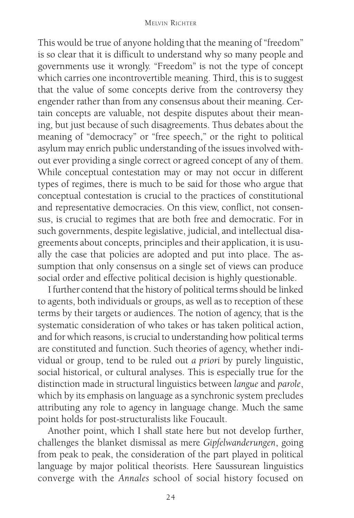This would be true of anyone holding that the meaning of "freedom" is so clear that it is difficult to understand why so many people and governments use it wrongly. "Freedom" is not the type of concept which carries one incontrovertible meaning. Third, this is to suggest that the value of some concepts derive from the controversy they engender rather than from any consensus about their meaning. Certain concepts are valuable, not despite disputes about their meaning, but just because of such disagreements. Thus debates about the meaning of "democracy" or "free speech," or the right to political asylum may enrich public understanding of the issues involved without ever providing a single correct or agreed concept of any of them. While conceptual contestation may or may not occur in different types of regimes, there is much to be said for those who argue that conceptual contestation is crucial to the practices of constitutional and representative democracies. On this view, conflict, not consensus, is crucial to regimes that are both free and democratic. For in such governments, despite legislative, judicial, and intellectual disagreements about concepts, principles and their application, it is usually the case that policies are adopted and put into place. The assumption that only consensus on a single set of views can produce social order and effective political decision is highly questionable.

I further contend that the history of political terms should be linked to agents, both individuals or groups, as well as to reception of these terms by their targets or audiences. The notion of agency, that is the systematic consideration of who takes or has taken political action, and for which reasons, is crucial to understanding how political terms are constituted and function. Such theories of agency, whether individual or group, tend to be ruled out *a priori* by purely linguistic, social historical, or cultural analyses. This is especially true for the distinction made in structural linguistics between *langue* and *parole*, which by its emphasis on language as a synchronic system precludes attributing any role to agency in language change. Much the same point holds for post-structuralists like Foucault.

Another point, which I shall state here but not develop further, challenges the blanket dismissal as mere *Gipfelwanderungen*, going from peak to peak, the consideration of the part played in political language by major political theorists. Here Saussurean linguistics converge with the *Annales* school of social history focused on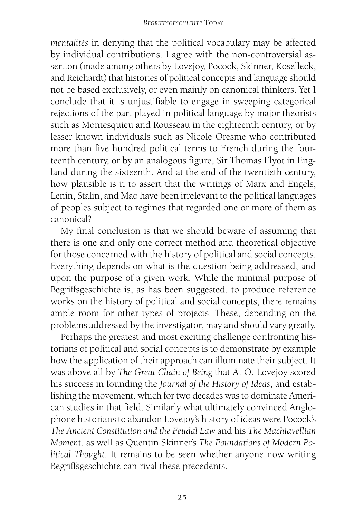*mentalités* in denying that the political vocabulary may be affected by individual contributions. I agree with the non-controversial assertion (made among others by Lovejoy, Pocock, Skinner, Koselleck, and Reichardt) that histories of political concepts and language should not be based exclusively, or even mainly on canonical thinkers. Yet I conclude that it is unjustifiable to engage in sweeping categorical rejections of the part played in political language by major theorists such as Montesquieu and Rousseau in the eighteenth century, or by lesser known individuals such as Nicole Oresme who contributed more than five hundred political terms to French during the fourteenth century, or by an analogous figure, Sir Thomas Elyot in England during the sixteenth. And at the end of the twentieth century, how plausible is it to assert that the writings of Marx and Engels, Lenin, Stalin, and Mao have been irrelevant to the political languages of peoples subject to regimes that regarded one or more of them as canonical?

My final conclusion is that we should beware of assuming that there is one and only one correct method and theoretical objective for those concerned with the history of political and social concepts. Everything depends on what is the question being addressed, and upon the purpose of a given work. While the minimal purpose of Begriffsgeschichte is, as has been suggested, to produce reference works on the history of political and social concepts, there remains ample room for other types of projects. These, depending on the problems addressed by the investigator, may and should vary greatly.

Perhaps the greatest and most exciting challenge confronting historians of political and social concepts is to demonstrate by example how the application of their approach can illuminate their subject. It was above all by *The Great Chain of Being* that A. O. Lovejoy scored his success in founding the *Journal of the History of Ideas*, and establishing the movement, which for two decades was to dominate American studies in that field. Similarly what ultimately convinced Anglophone historians to abandon Lovejoy's history of ideas were Pocock's *The Ancient Constitution and the Feudal Law* and his *The Machiavellian Momen*t, as well as Quentin Skinner's *The Foundations of Modern Political Thought*. It remains to be seen whether anyone now writing Begriffsgeschichte can rival these precedents.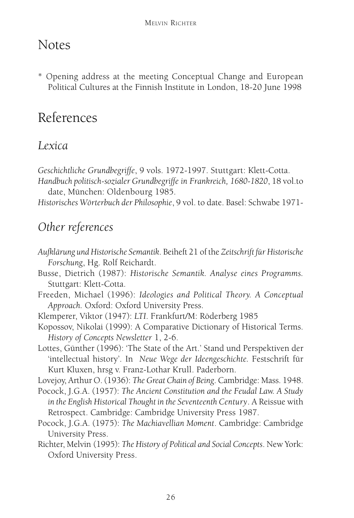# Notes

\* Opening address at the meeting Conceptual Change and European Political Cultures at the Finnish Institute in London, 18-20 June 1998

# References

## *Lexica*

*Geschichtliche Grundbegriffe*, 9 vols. 1972-1997. Stuttgart: Klett-Cotta. *Handbuch politisch-sozialer Grundbegriffe in Frankreich, 1680-1820*, 18 vol.to

date, München: Oldenbourg 1985.

*Historisches Wörterbuch der Philosophie*, 9 vol. to date. Basel: Schwabe 1971-

# *Other references*

- *Aufklärung und Historische Semantik*. Beiheft 21 of the *Zeitschrift für Historische Forschung*, Hg. Rolf Reichardt.
- Busse, Dietrich (1987): *Historische Semantik. Analyse eines Programms.* Stuttgart: Klett-Cotta.
- Freeden, Michael (1996): *Ideologies and Political Theory. A Conceptual Approach.* Oxford: Oxford University Press.
- Klemperer, Viktor (1947): *LTI*. Frankfurt/M: Röderberg 1985
- Kopossov, Nikolai (1999): A Comparative Dictionary of Historical Terms. *History of Concepts Newsletter* 1, 2-6.
- Lottes, Günther (1996): 'The State of the Art.' Stand und Perspektiven der 'intellectual history'. In *Neue Wege der Ideengeschichte.* Festschrift für Kurt Kluxen, hrsg v. Franz-Lothar Krull. Paderborn.

Lovejoy, Arthur O. (1936): *The Great Chain of Being*. Cambridge: Mass. 1948.

- Pocock, J.G.A. (1957): *The Ancient Constitution and the Feudal Law. A Study in the English Historical Thought in the Seventeenth Century*. A Reissue with Retrospect. Cambridge: Cambridge University Press 1987.
- Pocock, J.G.A. (1975): *The Machiavellian Moment*. Cambridge: Cambridge University Press.
- Richter, Melvin (1995): *The History of Political and Social Concepts*. New York: Oxford University Press.